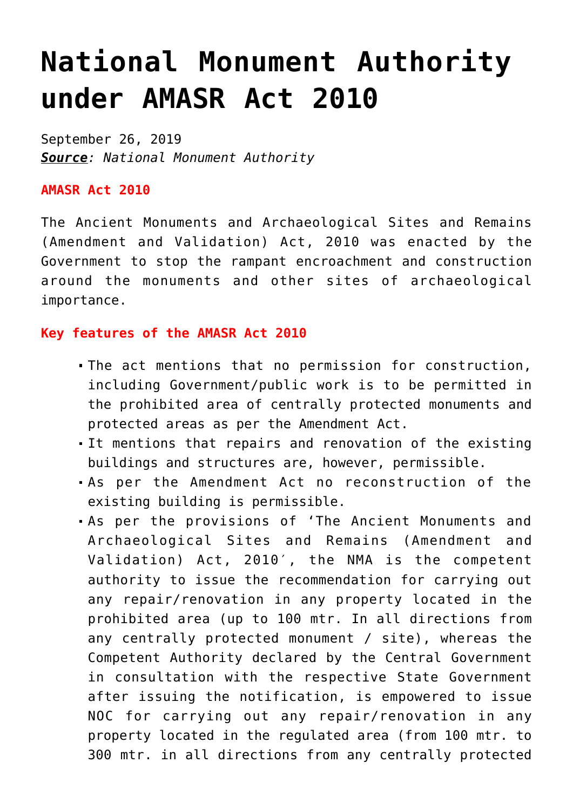# **[National Monument Authority](https://journalsofindia.com/national-monument-authority-under-amasr-act-2010/)  [under AMASR Act 2010](https://journalsofindia.com/national-monument-authority-under-amasr-act-2010/)**

September 26, 2019 *Source: National Monument Authority*

#### **AMASR Act 2010**

The Ancient Monuments and Archaeological Sites and Remains (Amendment and Validation) Act, 2010 was enacted by the Government to stop the rampant encroachment and construction around the monuments and other sites of archaeological importance.

#### **Key features of the AMASR Act 2010**

- The act mentions that no permission for construction, including Government/public work is to be permitted in the prohibited area of centrally protected monuments and protected areas as per the Amendment Act.
- It mentions that repairs and renovation of the existing buildings and structures are, however, permissible.
- As per the Amendment Act no reconstruction of the existing building is permissible.
- As per the provisions of 'The Ancient Monuments and Archaeological Sites and Remains (Amendment and Validation) Act, 2010′, the NMA is the competent authority to issue the recommendation for carrying out any repair/renovation in any property located in the prohibited area (up to 100 mtr. In all directions from any centrally protected monument / site), whereas the Competent Authority declared by the Central Government in consultation with the respective State Government after issuing the notification, is empowered to issue NOC for carrying out any repair/renovation in any property located in the regulated area (from 100 mtr. to 300 mtr. in all directions from any centrally protected